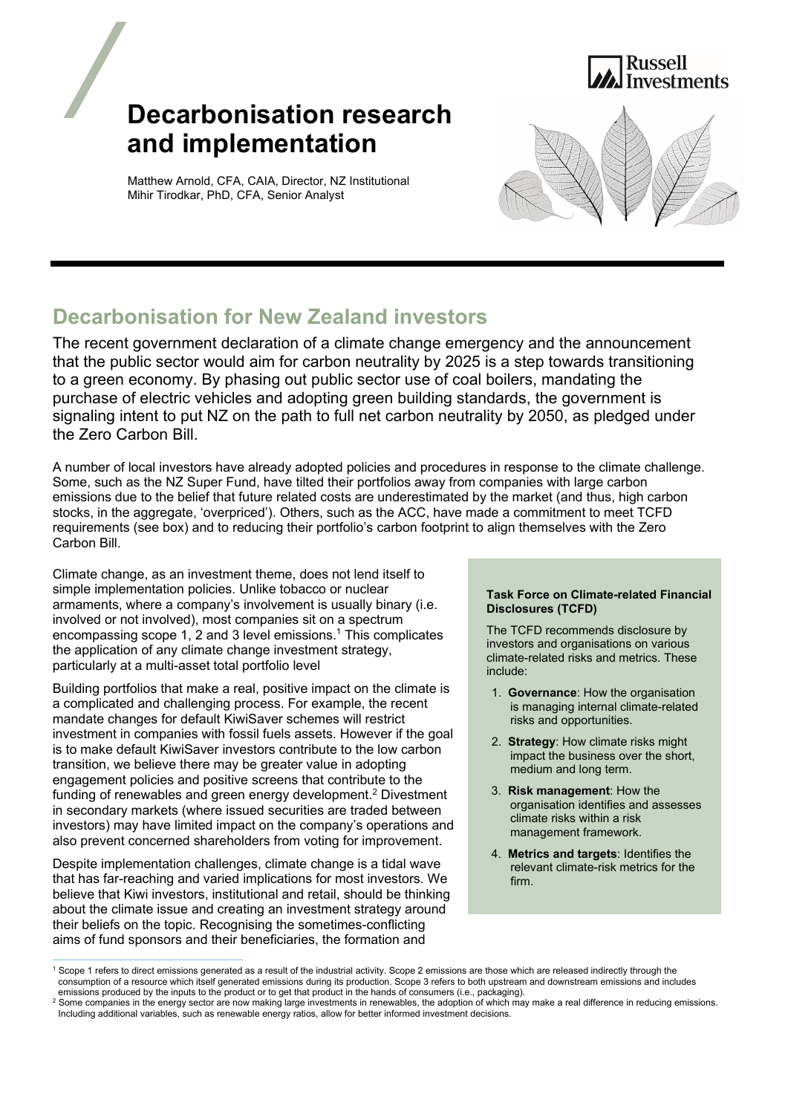



Matthew Arnold, CFA, CAIA, Director, NZ Institutional Mihir Tirodkar, PhD, CFA, Senior Analyst



# **Decarbonisation for New Zealand investors**

The recent government declaration of a climate change emergency and the announcement that the public sector would aim for carbon neutrality by 2025 is a step towards transitioning to a green economy. By phasing out public sector use of coal boilers, mandating the purchase of electric vehicles and adopting green building standards, the government is signaling intent to put NZ on the path to full net carbon neutrality by 2050, as pledged under the Zero Carbon Bill.

A number of local investors have already adopted policies and procedures in response to the climate challenge. Some, such as the NZ Super Fund, have tilted their portfolios away from companies with large carbon emissions due to the belief that future related costs are underestimated by the market (and thus, high carbon stocks, in the aggregate, 'overpriced'). Others, such as the ACC, have made a commitment to meet TCFD requirements (see box) and to reducing their portfolio's carbon footprint to align themselves with the Zero Carbon Bill.

Climate change, as an investment theme, does not lend itself to simple implementation policies. Unlike tobacco or nuclear armaments, where a company's involvement is usually binary (i.e. involved or not involved), most companies sit on a spectrum encompassing scope 1, 2 and 3 level emissions.<sup>1</sup> This complicates the application of any climate change investment strategy, particularly at a multi-asset total portfolio level

Building portfolios that make a real, positive impact on the climate is a complicated and challenging process. For example, the recent mandate changes for default KiwiSaver schemes will restrict investment in companies with fossil fuels assets. However if the goal is to make default KiwiSaver investors contribute to the low carbon transition, we believe there may be greater value in adopting engagement policies and positive screens that contribute to the funding of renewables and green energy development.<sup>2</sup> Divestment in secondary markets (where issued securities are traded between investors) may have limited impact on the company's operations and also prevent concerned shareholders from voting for improvement.

Despite implementation challenges, climate change is a tidal wave that has far-reaching and varied implications for most investors. We believe that Kiwi investors, institutional and retail, should be thinking about the climate issue and creating an investment strategy around their beliefs on the topic. Recognising the sometimes-conflicting aims of fund sponsors and their beneficiaries, the formation and

### **Task Force on Climate-related Financial Disclosures (TCFD)**

The TCFD recommends disclosure by investors and organisations on various climate-related risks and metrics. These include:

- 1. **Governance**: How the organisation is managing internal climate-related risks and opportunities.
- 2. **Strategy**: How climate risks might impact the business over the short, medium and long term.
- 3. **Risk management**: How the organisation identifies and assesses climate risks within a risk management framework.
- 4. **Metrics and targets**: Identifies the relevant climate-risk metrics for the firm.

<sup>1</sup> Scope 1 refers to direct emissions generated as a result of the industrial activity. Scope 2 emissions are those which are released indirectly through the consumption of a resource which itself generated emissions during its production. Scope 3 refers to both upstream and downstream emissions and includes emissions produced by the inputs to the product or to get that product in the hands of consumers (i.e., packaging).<br>2 Some companies in the energy sector are now making large investments in renewables, the adontion of whic

<sup>&</sup>lt;sup>2</sup> Some companies in the energy sector are now making large investments in renewables, the adoption of which may make a real difference in reducing emissions. Including additional variables, such as renewable energy ratios, allow for better informed investment decisions.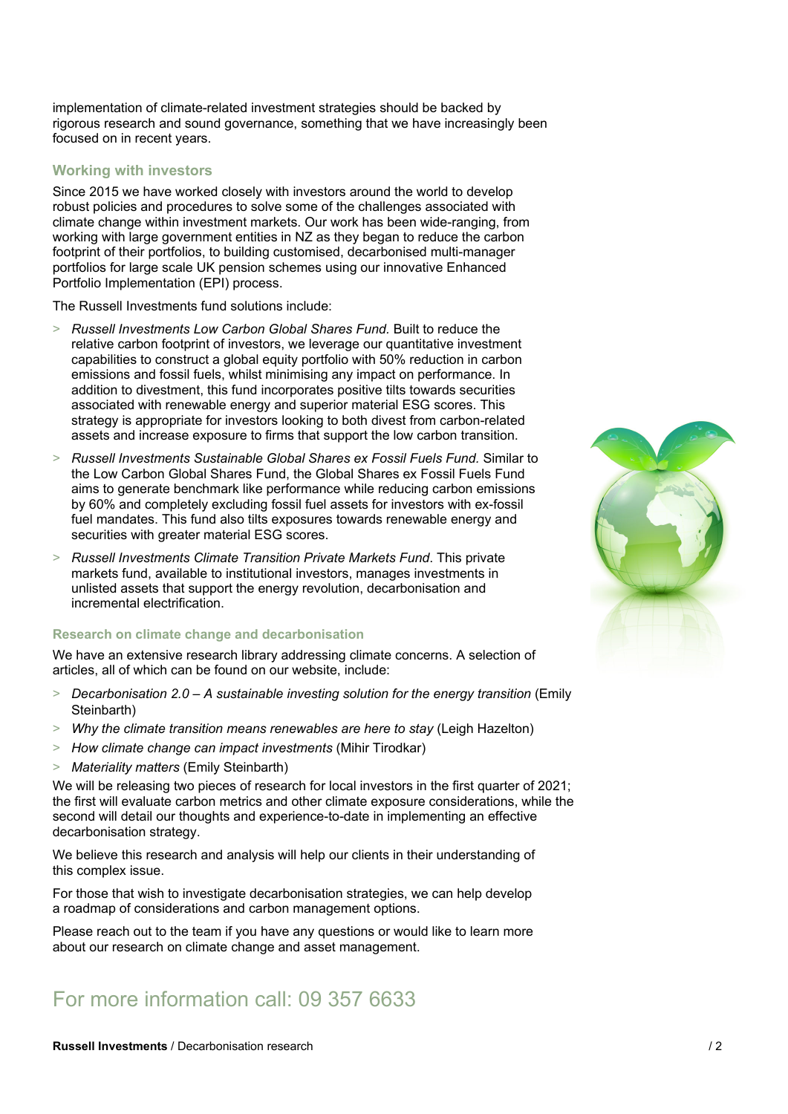implementation of climate-related investment strategies should be backed by rigorous research and sound governance, something that we have increasingly been focused on in recent years.

## **Working with investors**

Since 2015 we have worked closely with investors around the world to develop robust policies and procedures to solve some of the challenges associated with climate change within investment markets. Our work has been wide-ranging, from working with large government entities in NZ as they began to reduce the carbon footprint of their portfolios, to building customised, decarbonised multi-manager portfolios for large scale UK pension schemes using our innovative Enhanced Portfolio Implementation (EPI) process.

The Russell Investments fund solutions include:

- > *Russell Investments Low Carbon Global Shares Fund.* Built to reduce the relative carbon footprint of investors, we leverage our quantitative investment capabilities to construct a global equity portfolio with 50% reduction in carbon emissions and fossil fuels, whilst minimising any impact on performance. In addition to divestment, this fund incorporates positive tilts towards securities associated with renewable energy and superior material ESG scores. This strategy is appropriate for investors looking to both divest from carbon-related assets and increase exposure to firms that support the low carbon transition.
- > *Russell Investments Sustainable Global Shares ex Fossil Fuels Fund.* Similar to the Low Carbon Global Shares Fund, the Global Shares ex Fossil Fuels Fund aims to generate benchmark like performance while reducing carbon emissions by 60% and completely excluding fossil fuel assets for investors with ex-fossil fuel mandates. This fund also tilts exposures towards renewable energy and securities with greater material ESG scores.
- > *Russell Investments Climate Transition Private Markets Fund*. This private markets fund, available to institutional investors, manages investments in unlisted assets that support the energy revolution, decarbonisation and incremental electrification.

### **Research on climate change and decarbonisation**

We have an extensive research library addressing climate concerns. A selection of articles, all of which can be found on our website, include:

- > *Decarbonisation 2.0 A sustainable investing solution for the energy transition* (Emily Steinbarth)
- > *Why the climate transition means renewables are here to stay* (Leigh Hazelton)
- > *How climate change can impact investments* (Mihir Tirodkar)
- > *Materiality matters* (Emily Steinbarth)

We will be releasing two pieces of research for local investors in the first quarter of 2021; the first will evaluate carbon metrics and other climate exposure considerations, while the second will detail our thoughts and experience-to-date in implementing an effective decarbonisation strategy.

We believe this research and analysis will help our clients in their understanding of this complex issue.

For those that wish to investigate decarbonisation strategies, we can help develop a roadmap of considerations and carbon management options.

Please reach out to the team if you have any questions or would like to learn more about our research on climate change and asset management.

# For more information call: 09 357 6633